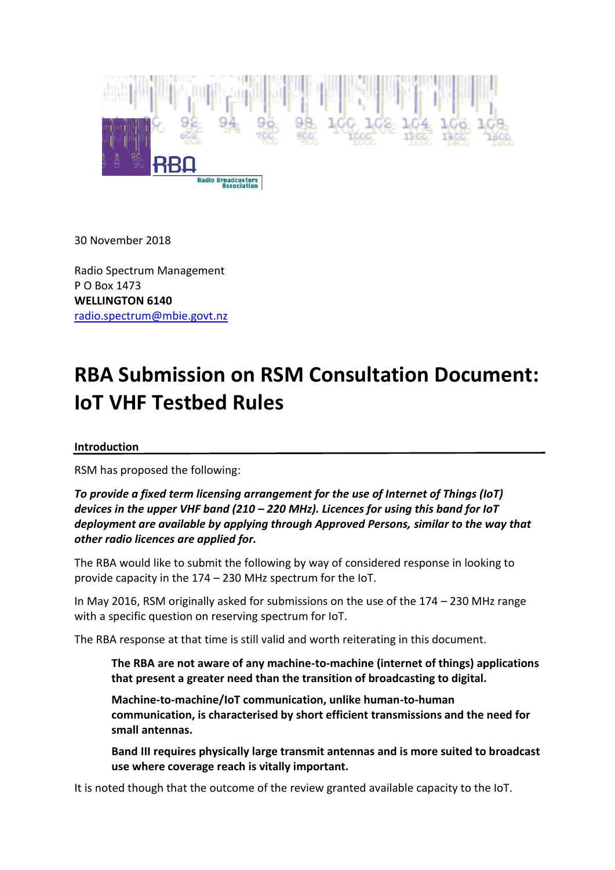

30 November 2018

Radio Spectrum Management P O Box 1473 **WELLINGTON 6140** [radio.spectrum@mbie.govt.nz](mailto:radio.spectrum@mbie.govt.nz)

# **RBA Submission on RSM Consultation Document: IoT VHF Testbed Rules**

#### **Introduction**

RSM has proposed the following:

*To provide a fixed term licensing arrangement for the use of Internet of Things (IoT) devices in the upper VHF band (210 – 220 MHz). Licences for using this band for IoT deployment are available by applying through Approved Persons, similar to the way that other radio licences are applied for.*

The RBA would like to submit the following by way of considered response in looking to provide capacity in the 174 – 230 MHz spectrum for the IoT.

In May 2016, RSM originally asked for submissions on the use of the 174 – 230 MHz range with a specific question on reserving spectrum for IoT.

The RBA response at that time is still valid and worth reiterating in this document.

**The RBA are not aware of any machine-to-machine (internet of things) applications that present a greater need than the transition of broadcasting to digital.**

**Machine-to-machine/IoT communication, unlike human-to-human communication, is characterised by short efficient transmissions and the need for small antennas.**

**Band III requires physically large transmit antennas and is more suited to broadcast use where coverage reach is vitally important.**

It is noted though that the outcome of the review granted available capacity to the IoT.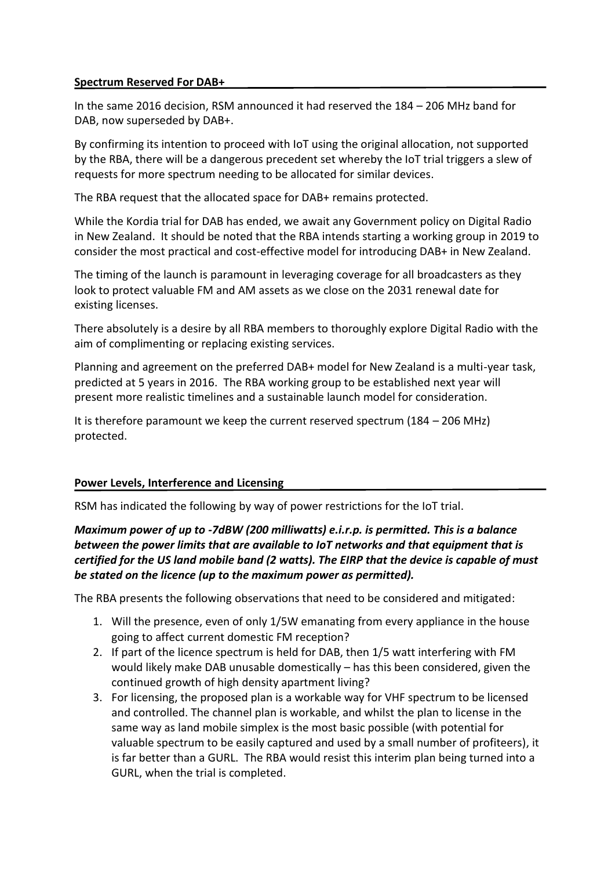### **Spectrum Reserved For DAB+**

In the same 2016 decision, RSM announced it had reserved the 184 – 206 MHz band for DAB, now superseded by DAB+.

By confirming its intention to proceed with IoT using the original allocation, not supported by the RBA, there will be a dangerous precedent set whereby the IoT trial triggers a slew of requests for more spectrum needing to be allocated for similar devices.

The RBA request that the allocated space for DAB+ remains protected.

While the Kordia trial for DAB has ended, we await any Government policy on Digital Radio in New Zealand. It should be noted that the RBA intends starting a working group in 2019 to consider the most practical and cost-effective model for introducing DAB+ in New Zealand.

The timing of the launch is paramount in leveraging coverage for all broadcasters as they look to protect valuable FM and AM assets as we close on the 2031 renewal date for existing licenses.

There absolutely is a desire by all RBA members to thoroughly explore Digital Radio with the aim of complimenting or replacing existing services.

Planning and agreement on the preferred DAB+ model for New Zealand is a multi-year task, predicted at 5 years in 2016. The RBA working group to be established next year will present more realistic timelines and a sustainable launch model for consideration.

It is therefore paramount we keep the current reserved spectrum (184 – 206 MHz) protected.

#### **Power Levels, Interference and Licensing**

RSM has indicated the following by way of power restrictions for the IoT trial.

## *Maximum power of up to -7dBW (200 milliwatts) e.i.r.p. is permitted. This is a balance between the power limits that are available to IoT networks and that equipment that is certified for the US land mobile band (2 watts). The EIRP that the device is capable of must be stated on the licence (up to the maximum power as permitted).*

The RBA presents the following observations that need to be considered and mitigated:

- 1. Will the presence, even of only 1/5W emanating from every appliance in the house going to affect current domestic FM reception?
- 2. If part of the licence spectrum is held for DAB, then 1/5 watt interfering with FM would likely make DAB unusable domestically – has this been considered, given the continued growth of high density apartment living?
- 3. For licensing, the proposed plan is a workable way for VHF spectrum to be licensed and controlled. The channel plan is workable, and whilst the plan to license in the same way as land mobile simplex is the most basic possible (with potential for valuable spectrum to be easily captured and used by a small number of profiteers), it is far better than a GURL. The RBA would resist this interim plan being turned into a GURL, when the trial is completed.